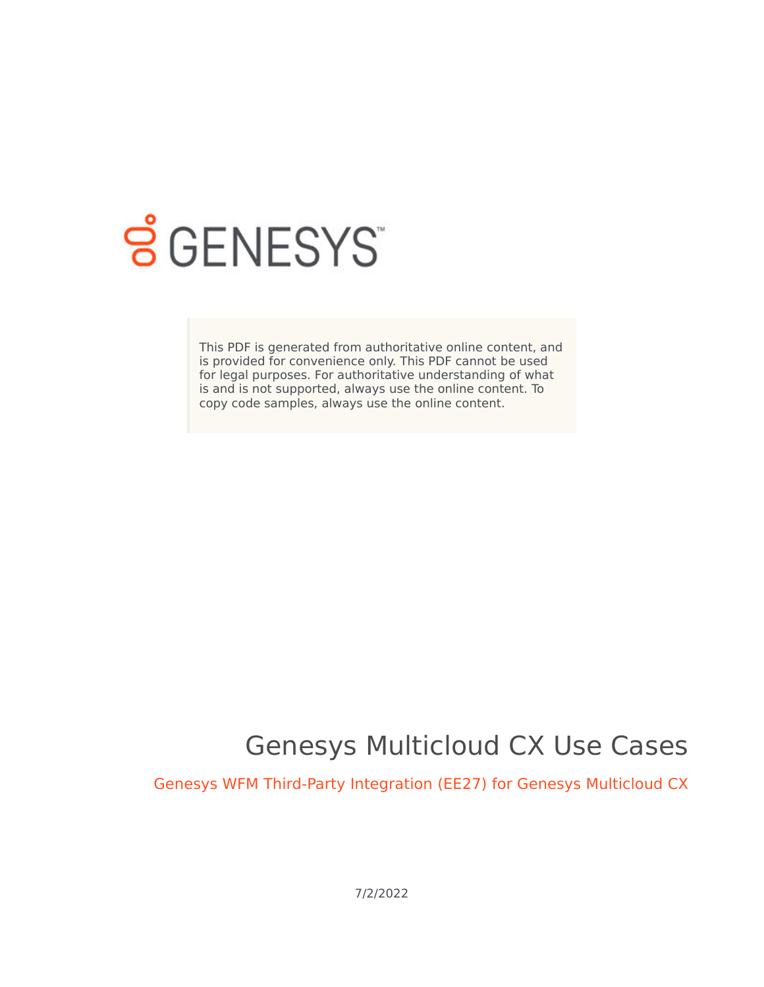

# **S** GENESYS

This PDF is generated from authoritative online content, and is provided for convenience only. This PDF cannot be used for legal purposes. For authoritative understanding of what is and is not supported, always use the online content. To copy code samples, always use the online content.

## Genesys Multicloud CX Use Cases

Genesys WFM Third-Party Integration (EE27) for Genesys Multicloud CX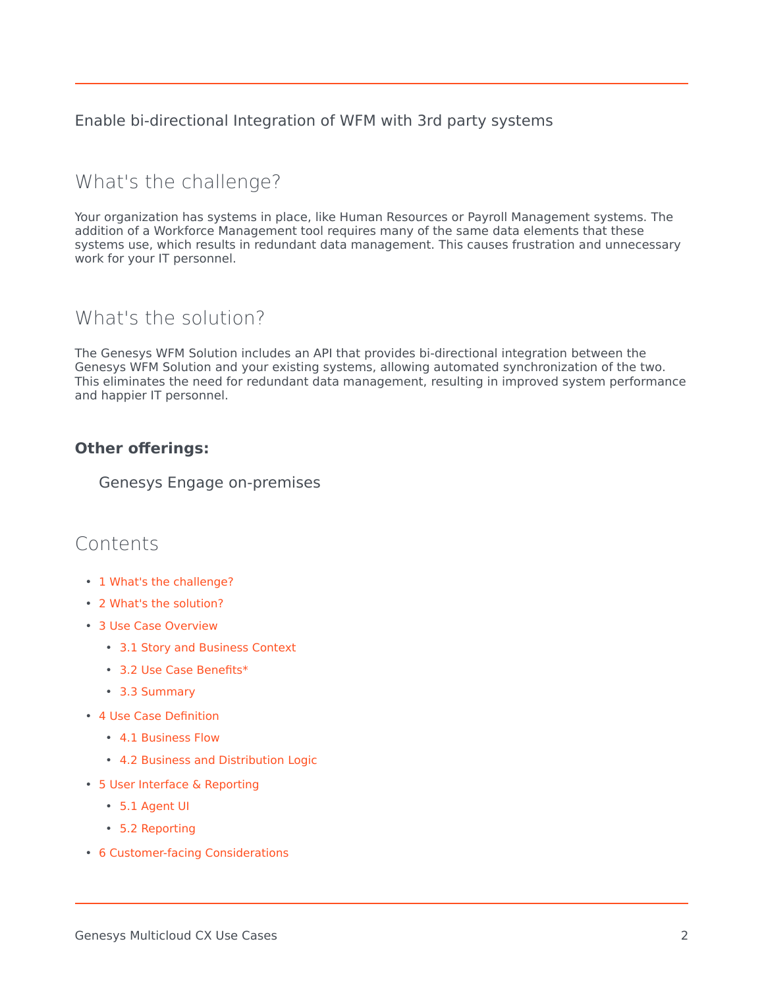Enable bi-directional Integration of WFM with 3rd party systems

## <span id="page-1-0"></span>What's the challenge?

Your organization has systems in place, like Human Resources or Payroll Management systems. The addition of a Workforce Management tool requires many of the same data elements that these systems use, which results in redundant data management. This causes frustration and unnecessary work for your IT personnel.

## <span id="page-1-1"></span>What's the solution?

The Genesys WFM Solution includes an API that provides bi-directional integration between the Genesys WFM Solution and your existing systems, allowing automated synchronization of the two. This eliminates the need for redundant data management, resulting in improved system performance and happier IT personnel.

#### **Other offerings:**

Genesys Engage on-premises

### Contents

- 1 [What's the challenge?](#page-1-0)
- 2 [What's the solution?](#page-1-1)
- 3 [Use Case Overview](#page-3-0)
	- 3.1 [Story and Business Context](#page-3-1)
	- 3.2 [Use Case Benefits\\*](#page-3-2)
	- 3.3 [Summary](#page-3-3)
- 4 [Use Case Definition](#page-3-4)
	- 4.1 [Business Flow](#page-3-5)
	- 4.2 [Business and Distribution Logic](#page-4-0)
- 5 [User Interface & Reporting](#page-5-0) 
	- 5.1 [Agent UI](#page-5-1)
	- 5.2 [Reporting](#page-5-2)
- 6 [Customer-facing Considerations](#page-5-3)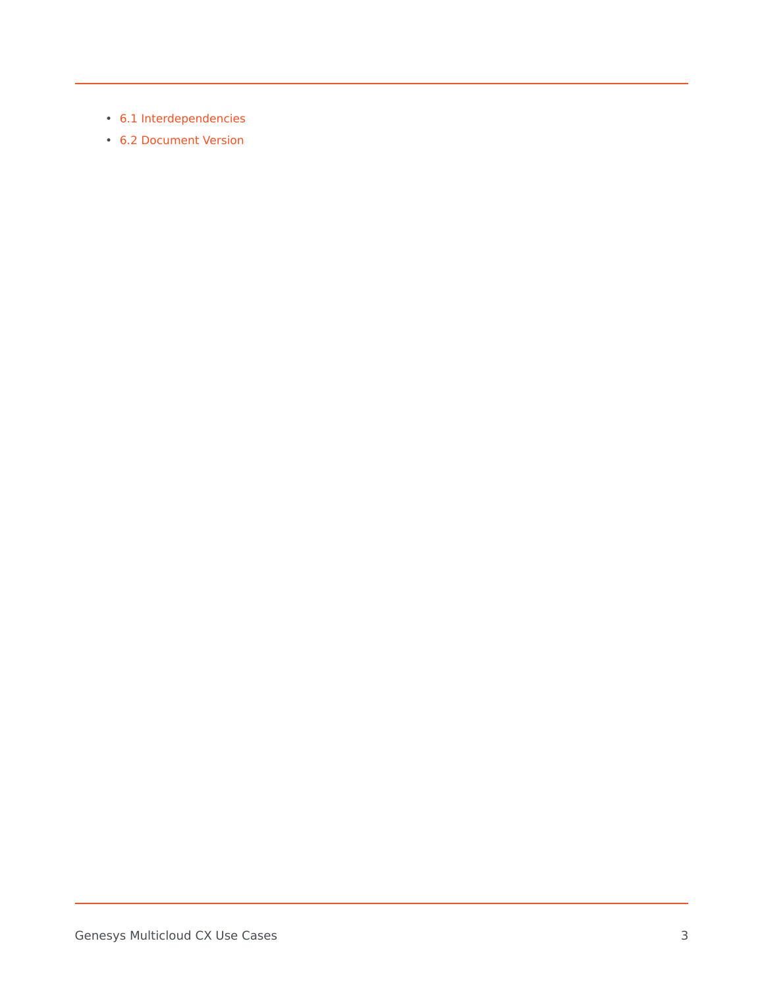- 6.1 [Interdependencies](#page-5-4)
- 6.2 [Document Version](#page-5-5)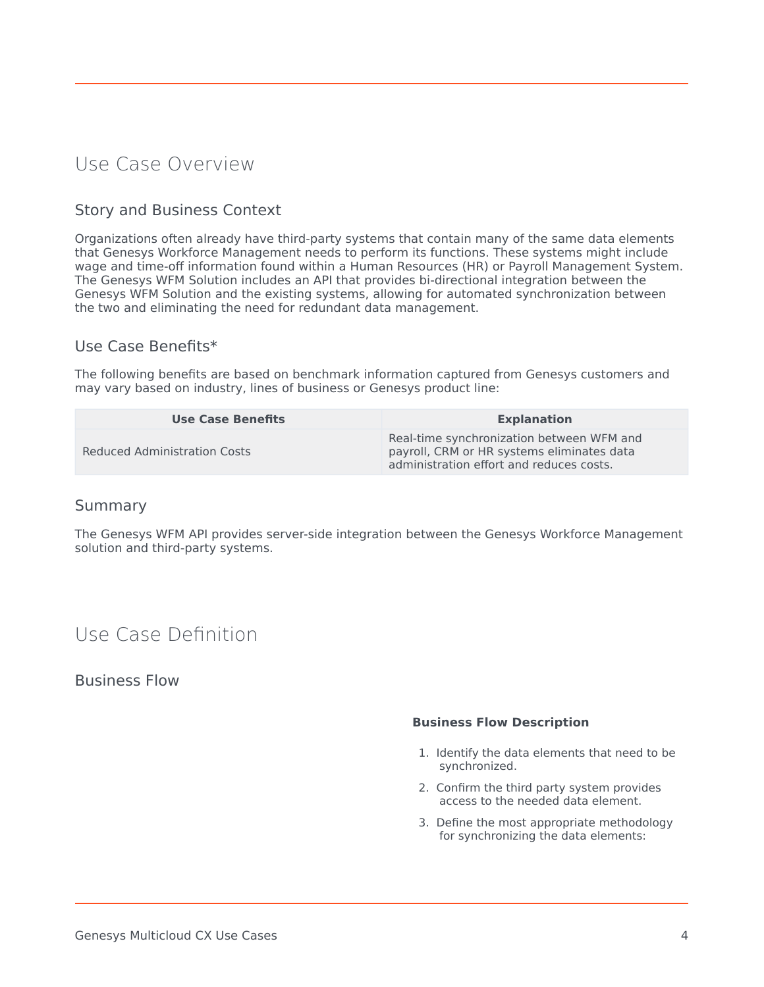## <span id="page-3-0"></span>Use Case Overview

#### <span id="page-3-1"></span>Story and Business Context

Organizations often already have third-party systems that contain many of the same data elements that Genesys Workforce Management needs to perform its functions. These systems might include wage and time-off information found within a Human Resources (HR) or Payroll Management System. The Genesys WFM Solution includes an API that provides bi-directional integration between the Genesys WFM Solution and the existing systems, allowing for automated synchronization between the two and eliminating the need for redundant data management.

#### <span id="page-3-2"></span>Use Case Benefits\*

The following benefits are based on benchmark information captured from Genesys customers and may vary based on industry, lines of business or Genesys product line:

| <b>Use Case Benefits</b>     | <b>Explanation</b>                                                                                                                  |  |
|------------------------------|-------------------------------------------------------------------------------------------------------------------------------------|--|
| Reduced Administration Costs | Real-time synchronization between WFM and<br>payroll, CRM or HR systems eliminates data<br>administration effort and reduces costs. |  |

#### <span id="page-3-3"></span>Summary

The Genesys WFM API provides server-side integration between the Genesys Workforce Management solution and third-party systems.

## <span id="page-3-4"></span>Use Case Definition

#### <span id="page-3-5"></span>Business Flow

#### **Business Flow Description**

- 1. Identify the data elements that need to be synchronized.
- 2. Confirm the third party system provides access to the needed data element.
- 3. Define the most appropriate methodology for synchronizing the data elements: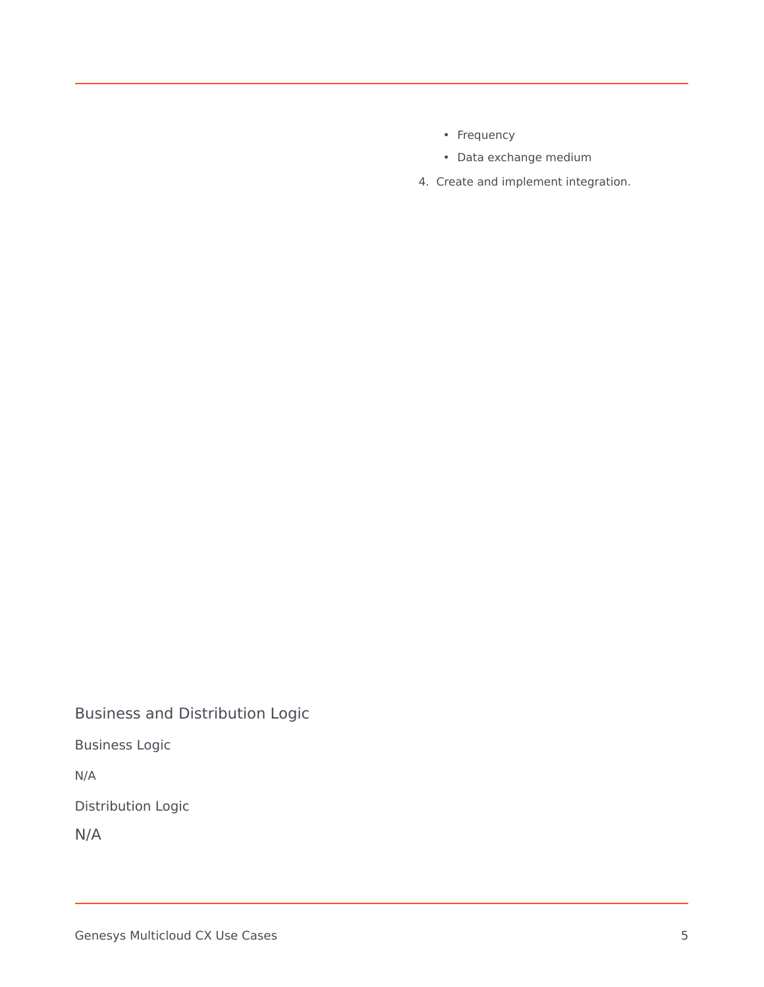- Frequency
- Data exchange medium
- 4. Create and implement integration.

<span id="page-4-0"></span>Business and Distribution Logic

Business Logic

N/A

Distribution Logic

N/A